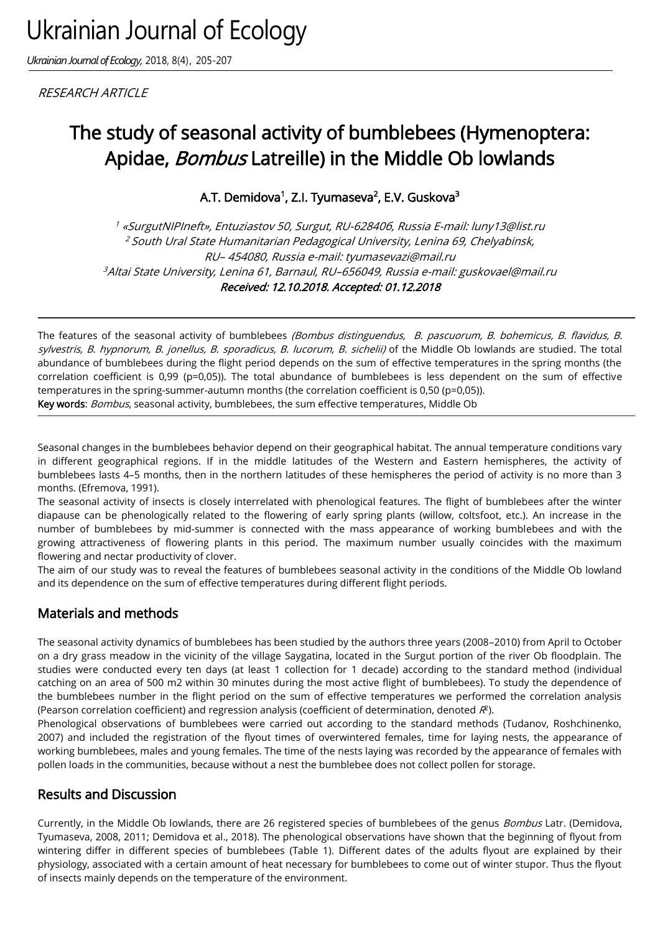*Ukrainian Journal of Ecology,* 2018, 8(4), 205-207

**RESEARCH ARTICLE** 

# The study of seasonal activity of bumblebees (Hymenoptera: Apidae, Bombus Latreille) in the Middle Ob lowlands

A.T. Demidova<sup>1</sup>, Z.I. Tyumaseva<sup>2</sup>, E.V. Guskova<sup>3</sup>

<sup>1</sup> «SurgutNIPIneft», Entuziastov 50, Surgut, RU-62840б, Russia E-mail: luny13@list.ru <sup>2</sup>South Ural State Humanitarian Pedagogical University, Lenina 69, Chelyabinsk, RU– 454080, Russia e-mail: tyumasevazi@mail.ru <sup>3</sup>Altai State University, Lenina 61, Barnaul, RU–656049, Russia e-mail: guskovael@mail.ru Received: 12.10.2018. Accepted: 01.12.2018

The features of the seasonal activity of bumblebees (Bombus distinguendus, B. pascuorum, B. bohemicus, B. flavidus, B. sylvestris, B. hypnorum, B. jonellus, B. sporadicus, B. lucorum, B. sichelii) of the Middle Ob lowlands are studied. The total abundance of bumblebees during the flight period depends on the sum of effective temperatures in the spring months (the correlation coefficient is 0,99 (p=0,05)). The total abundance of bumblebees is less dependent on the sum of effective temperatures in the spring-summer-autumn months (the correlation coefficient is 0,50 (p=0,05)). Key words: Bombus, seasonal activity, bumblebees, the sum effective temperatures, Middle Ob

Seasonal changes in the bumblebees behavior depend on their geographical habitat. The annual temperature conditions vary in different geographical regions. If in the middle latitudes of the Western and Eastern hemispheres, the activity of bumblebees lasts 4–5 months, then in the northern latitudes of these hemispheres the period of activity is no more than 3 months. (Efremova, 1991).

The seasonal activity of insects is closely interrelated with phenological features. The flight of bumblebees after the winter diapause can be phenologically related to the flowering of early spring plants (willow, coltsfoot, etc.). An increase in the number of bumblebees by mid-summer is connected with the mass appearance of working bumblebees and with the growing attractiveness of flowering plants in this period. The maximum number usually coincides with the maximum flowering and nectar productivity of clover.

The aim of our study was to reveal the features of bumblebees seasonal activity in the conditions of the Middle Ob lowland and its dependence on the sum of effective temperatures during different flight periods.

# Materials and methods

The seasonal activity dynamics of bumblebees has been studied by the authors three years (2008–2010) from April to October on a dry grass meadow in the vicinity of the village Saygatina, located in the Surgut portion of the river Ob floodplain. The studies were conducted every ten days (at least 1 collection for 1 decade) according to the standard method (individual catching on an area of 500 m2 within 30 minutes during the most active flight of bumblebees). To study the dependence of the bumblebees number in the flight period on the sum of effective temperatures we performed the correlation analysis (Pearson correlation coefficient) and regression analysis (coefficient of determination, denoted  $\mathcal{R}^2$ ).

Phenological observations of bumblebees were carried out according to the standard methods (Tudanov, Roshchinenko, 2007) and included the registration of the flyout times of overwintered females, time for laying nests, the appearance of working bumblebees, males and young females. The time of the nests laying was recorded by the appearance of females with pollen loads in the communities, because without a nest the bumblebee does not collect pollen for storage.

# Results and Discussion

Currently, in the Middle Ob lowlands, there are 26 registered species of bumblebees of the genus Bombus Latr. (Demidova, Tyumaseva, 2008, 2011; Demidova et al., 2018). The phenological observations have shown that the beginning of flyout from wintering differ in different species of bumblebees (Table 1). Different dates of the adults flyout are explained by their physiology, associated with a certain amount of heat necessary for bumblebees to come out of winter stupor. Thus the flyout of insects mainly depends on the temperature of the environment.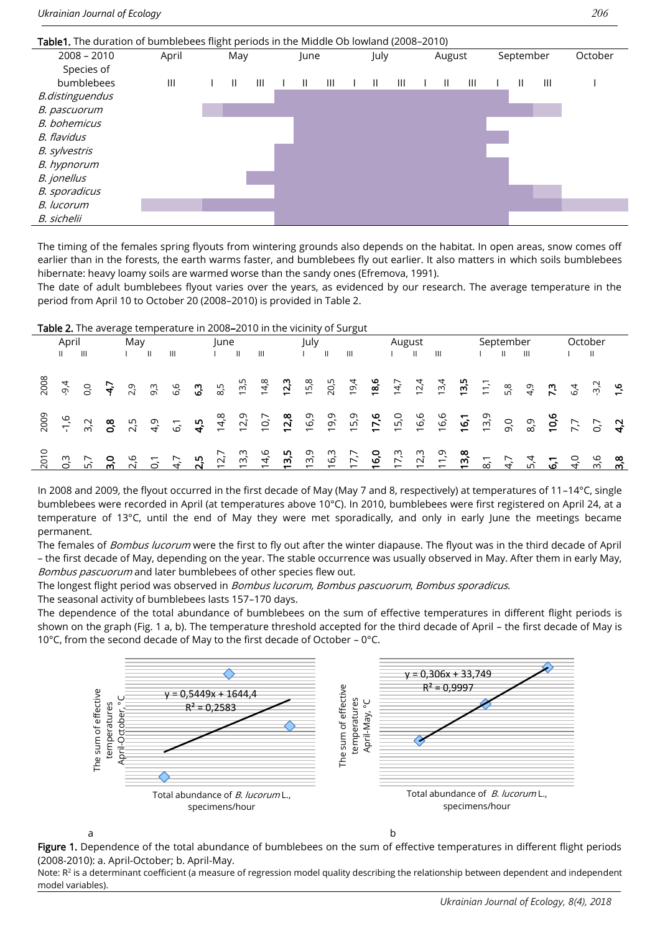#### Table1. The duration of bumblebees flight periods in the Middle Ob lowland (2008–2010) 2008 – 2010 April May June July August September October Species of bumblebees III I II III I II III I II III I II III I II III I B.distinguendus B. pascuorum B. bohemicus B. flavidus B. sylvestris B. hypnorum B. jonellus B. sporadicus B. lucorum B. sichelii

The timing of the females spring flyouts from wintering grounds also depends on the habitat. In open areas, snow comes off earlier than in the forests, the earth warms faster, and bumblebees fly out earlier. It also matters in which soils bumblebees hibernate: heavy loamy soils are warmed worse than the sandy ones (Efremova, 1991).

The date of adult bumblebees flyout varies over the years, as evidenced by our research. The average temperature in the period from April 10 to October 20 (2008–2010) is provided in Table 2.

#### Table 2. The average temperature in 2008–2010 in the vicinity of Surgut

| April |                                                                                                                                                             |  | May |              |                | June |  |                | July |  |              |              | August |  |  |  | September |  |  | October |  |  |
|-------|-------------------------------------------------------------------------------------------------------------------------------------------------------------|--|-----|--------------|----------------|------|--|----------------|------|--|--------------|--------------|--------|--|--|--|-----------|--|--|---------|--|--|
|       | $\mathbf{III}$                                                                                                                                              |  |     | $\mathbf{H}$ | $\mathbf{III}$ |      |  | $\mathbf{III}$ |      |  | $\mathbf{H}$ | $\mathbf{H}$ |        |  |  |  |           |  |  |         |  |  |
|       |                                                                                                                                                             |  |     |              |                |      |  |                |      |  |              |              |        |  |  |  |           |  |  |         |  |  |
|       |                                                                                                                                                             |  |     |              |                |      |  |                |      |  |              |              |        |  |  |  |           |  |  |         |  |  |
|       | com de chine de chine de chine de chine de chine.<br>Son de chine de chine de chine de chine de chine.<br>Son de chine de chine de chine de chine de chine. |  |     |              |                |      |  |                |      |  |              |              |        |  |  |  |           |  |  |         |  |  |

In 2008 and 2009, the flyout occurred in the first decade of May (May 7 and 8, respectively) at temperatures of 11–14°С, single bumblebees were recorded in April (at temperatures above 10°С). In 2010, bumblebees were first registered on April 24, at a temperature of 13°С, until the end of May they were met sporadically, and only in early June the meetings became permanent.

The females of *Bombus lucorum* were the first to fly out after the winter diapause. The flyout was in the third decade of April – the first decade of May, depending on the year. The stable occurrence was usually observed in May. After them in early May, Bombus pascuorum and later bumblebees of other species flew out.

The longest flight period was observed in Bombus lucorum, Bombus pascuorum, Bombus sporadicus.

The seasonal activity of bumblebees lasts 157–170 days.

The dependence of the total abundance of bumblebees on the sum of effective temperatures in different flight periods is shown on the graph (Fig. 1 a, b). The temperature threshold accepted for the third decade of April – the first decade of May is 10°С, from the second decade of May to the first decade of October – 0°С.



Figure 1. Dependence of the total abundance of bumblebees on the sum of effective temperatures in different flight periods (2008-2010): а. April-October; b. April-May.

Note:  $R<sup>2</sup>$  is a determinant coefficient (a measure of regression model quality describing the relationship between dependent and independent model variables).